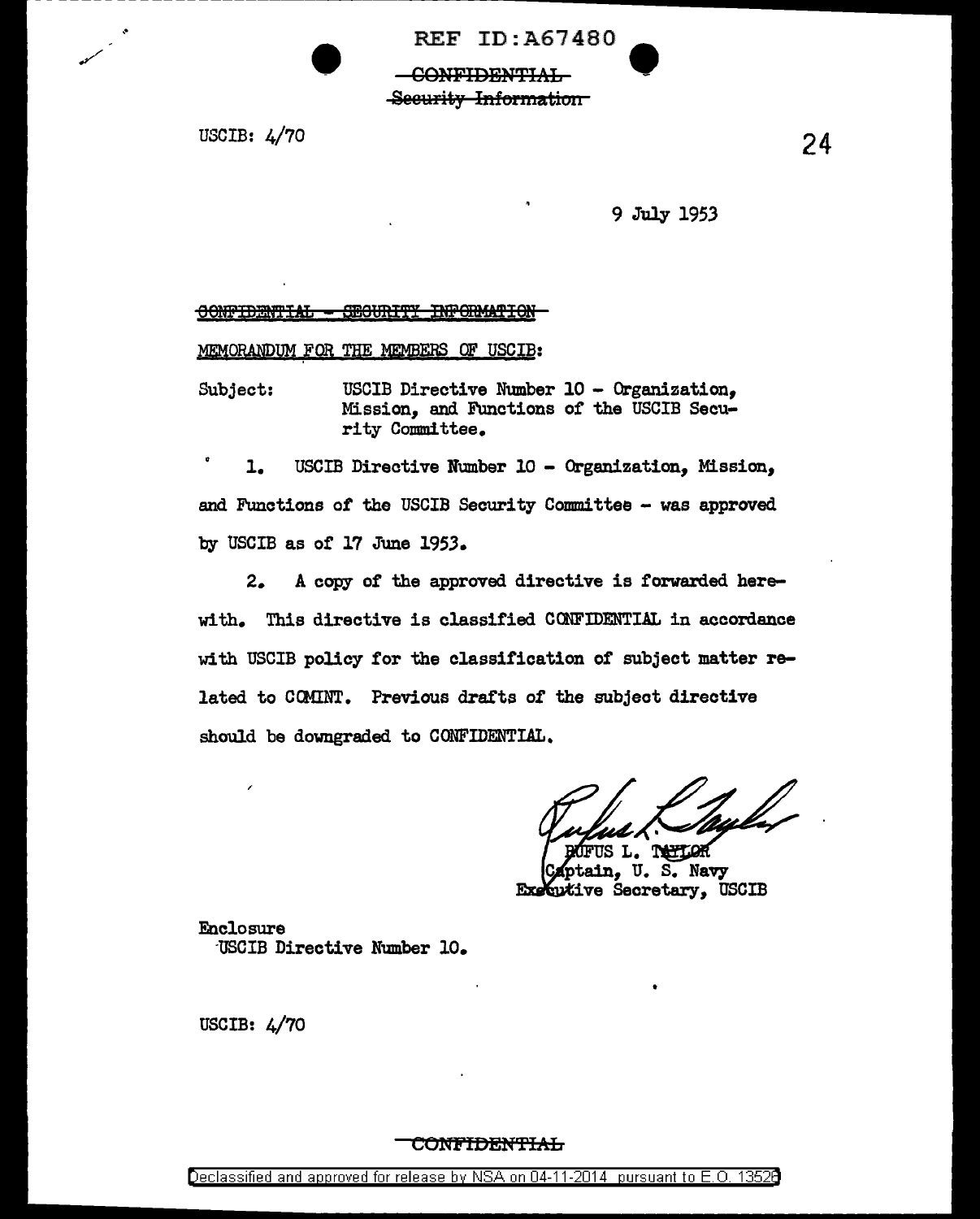**REF ID: A67480** 

-CONFIDENTIAL-Security Information

USCIB:  $4/70$ 

9 July 1953

## OONFIDENTIAL - SECURITY INFORMATION

MEMORANDUM FOR THE MEMBERS OF USCIB:

USCIB Directive Number 10 - Organization. Subject: Mission, and Functions of the USCIB Security Committee.

USCIB Directive Number 10 - Organization, Mission,  $\mathbf{1}$ . and Functions of the USCIB Security Committee - was approved by USCIB as of 17 June 1953.

A copy of the approved directive is forwarded here- $2.$ with. This directive is classified CONFIDENTIAL in accordance with USCIB policy for the classification of subject matter related to COMINT. Previous drafts of the subject directive should be downgraded to CONFIDENTIAL.

TAPTLOR ptain, U.S. Navy Executive Secretary, USCIB

**Enclosure** USCIB Directive Number 10.

USCIB: 4/70

#### <del>CONFIDENTIAL</del>

Declassified and approved for release by NSA on 04-11-2014 pursuant to E.O. 13528

24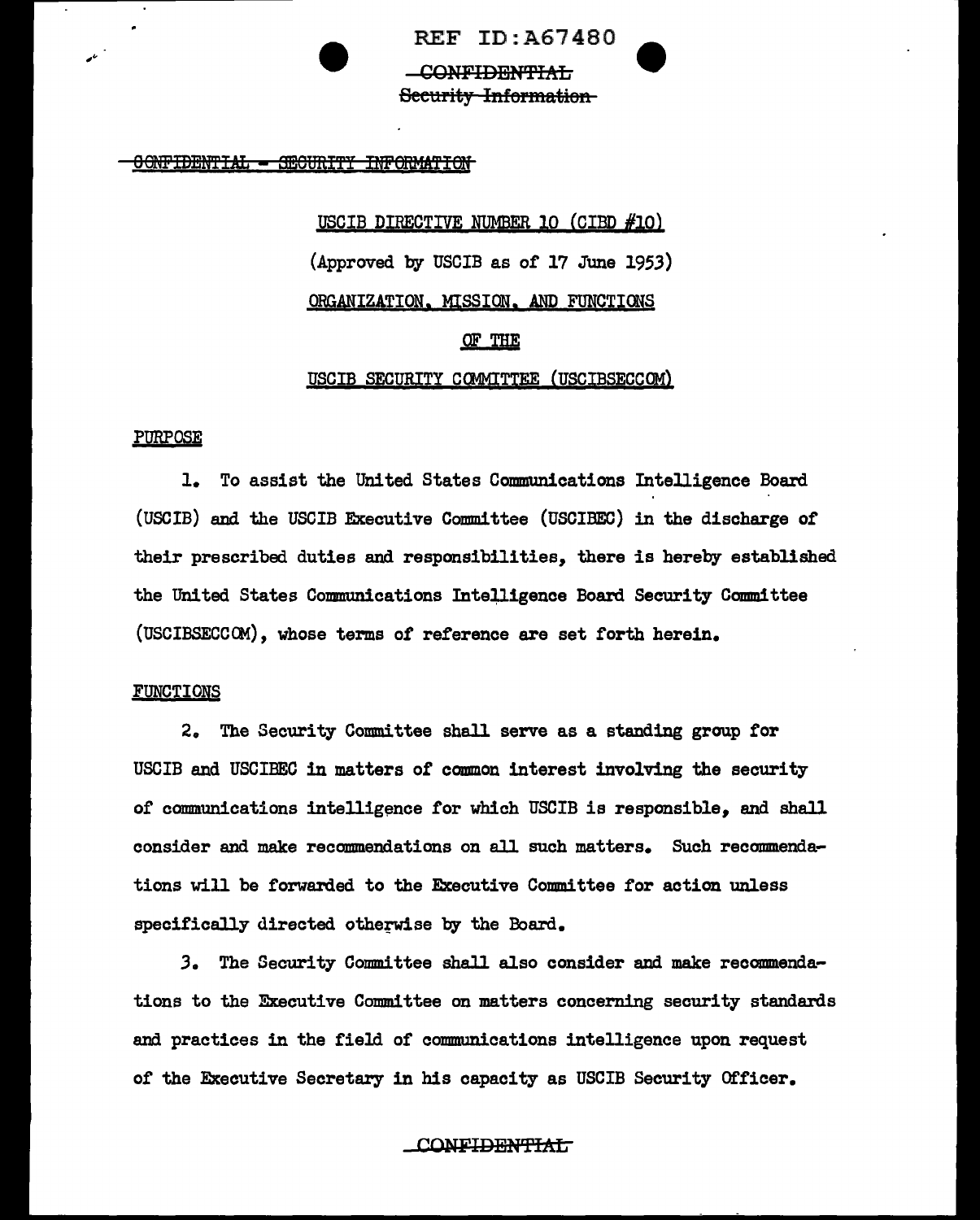**REF ID: A67480 CONFIDENTIAL** Security Information

OONFIDENTIAL - SECURITY INFORMATION

USCIB DIRECTIVE NUMBER 10 (CIBD #10) (Approved by USCIB as of 17 June 1953) ORGANIZATION, MISSION, AND FUNCTIONS OF THE

USCIB SECURITY COMMITTEE (USCIBSECCOM)

# **PURPOSE**

1. To assist the United States Communications Intelligence Board (USCIB) and the USCIB Executive Committee (USCIBEC) in the discharge of their prescribed duties and responsibilities, there is hereby established the United States Communications Intelligence Board Security Committee (USCIBSECCOM), whose terms of reference are set forth herein.

#### FUNCTIONS

2. The Security Committee shall serve as a standing group for USCIB and USCIBEC in matters of common interest involving the security of communications intelligence for which USCIB is responsible, and shall consider and make recommendations on all such matters. Such recommendations will be forwarded to the Executive Committee for action unless specifically directed otherwise by the Board.

3. The Security Committee shall also consider and make recommendations to the Executive Committee on matters concerning security standards and practices in the field of communications intelligence upon request of the Executive Secretary in his capacity as USCIB Security Officer.

**CONFIDENTIAL**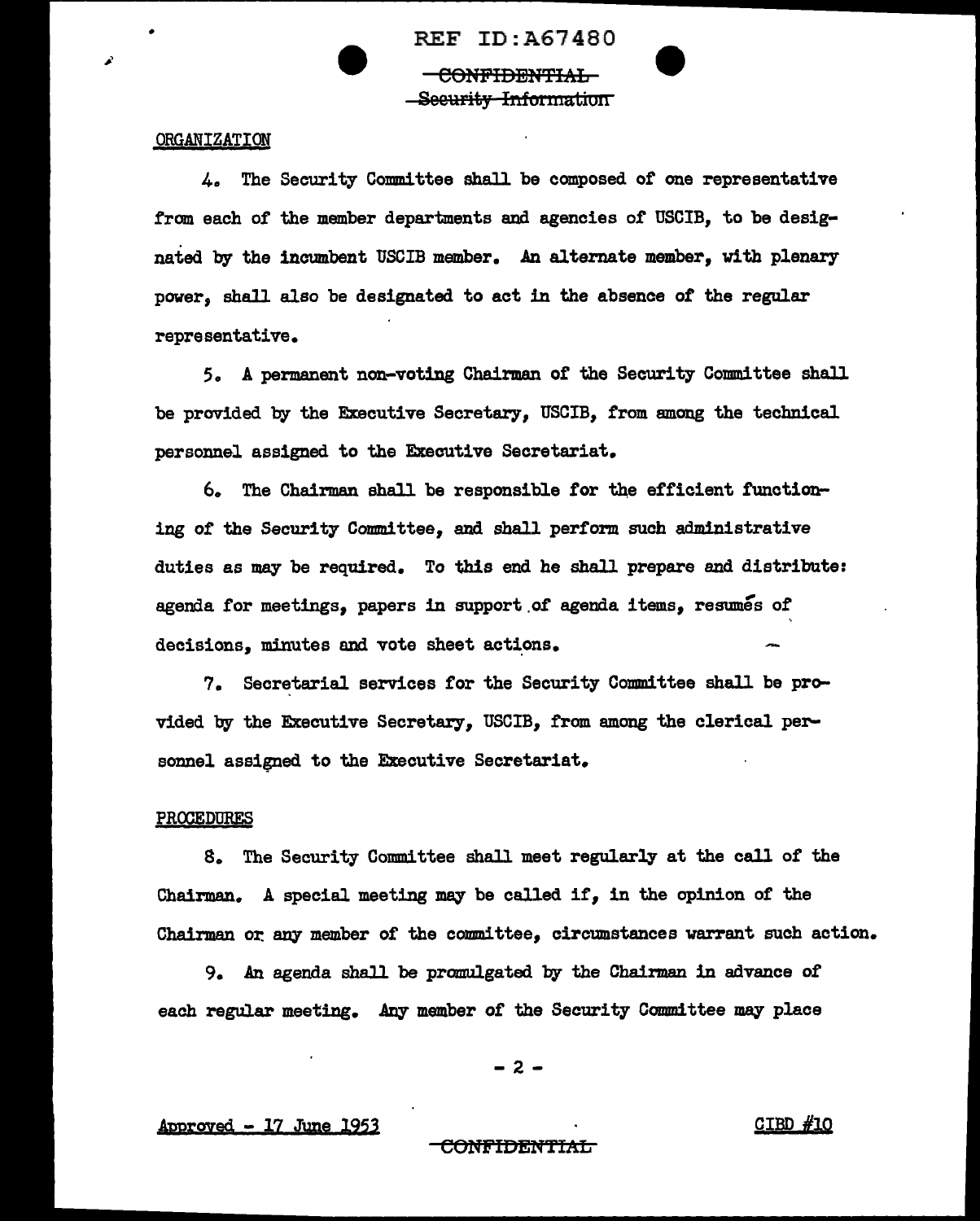REF ID:A67480 CONFIDENTIAL Seeurity Information

## **ORGANIZATION**

•

4. The Security Committee shall be composed *ot* one representative from each of the member departments and agencies of USCIB, to be designated by the incumbent USCIB member. An alternate member, vith plenary power, shall also be designated to act in the absence of the regular representative.

5. A permanent non-voting Chairman of the Security Committee shall be provided by the Executive Secretary, USCIB, from among the technical personnel assigned to the Executive Secretariat.

6. The Chairman shall be responsible for the efficient functioning or the Security Committee, and shall perform such administrative duties as may be required. To this end he shall prepare and distribute: agenda for meetings, papers in support of agenda items, resumes of decisions, minutes and vote sheet actions.

7. Secretarial services for the Security Committee shall be provided by the Executive Secretary, USCIB, from among the clerical personnel assigned to the Executive Secretariat.

#### PROCEDURES

8. The Security Committee shall meet regularly at the call of the Chairman. A special meeting may be called if, in the opinion of the Chairman or. any member of the committee, circumstances warrant such action.

9. An agenda shall be promulgated by the Chairman in advance of each regular meeting. Any member of the Security Committee may place

-2-

# Approved - 17 June 1953 **CIBD**  $\#10$

#### CONFIDENTIAL